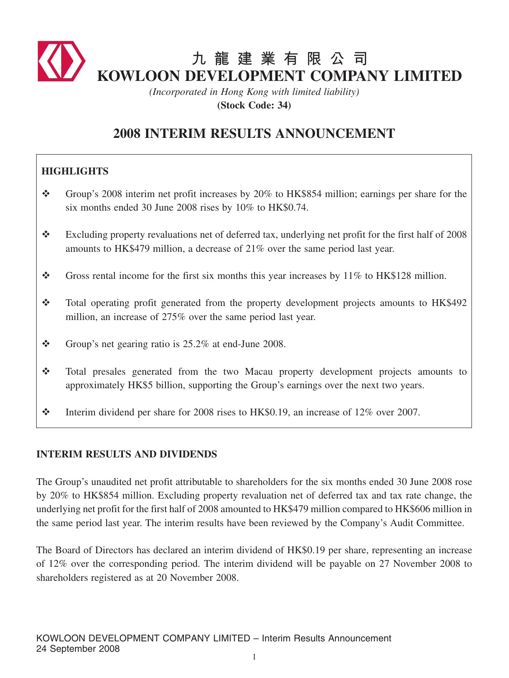

*(Incorporated in Hong Kong with limited liability)* **(Stock Code: 34)**

# **2008 INTERIM RESULTS ANNOUNCEMENT**

## **HIGHLIGHTS**

- Group's 2008 interim net profit increases by 20% to HK\$854 million; earnings per share for the six months ended 30 June 2008 rises by 10% to HK\$0.74.
- \* Excluding property revaluations net of deferred tax, underlying net profit for the first half of 2008 amounts to HK\$479 million, a decrease of 21% over the same period last year.
- Gross rental income for the first six months this year increases by  $11\%$  to HK\$128 million.
- Total operating profit generated from the property development projects amounts to HK\$492 million, an increase of 275% over the same period last year.
- $\div$  Group's net gearing ratio is 25.2% at end-June 2008.
- Total presales generated from the two Macau property development projects amounts to approximately HK\$5 billion, supporting the Group's earnings over the next two years.
- $\cdot$  Interim dividend per share for 2008 rises to HK\$0.19, an increase of 12% over 2007.

## **INTERIM RESULTS AND DIVIDENDS**

The Group's unaudited net profit attributable to shareholders for the six months ended 30 June 2008 rose by 20% to HK\$854 million. Excluding property revaluation net of deferred tax and tax rate change, the underlying net profit for the first half of 2008 amounted to HK\$479 million compared to HK\$606 million in the same period last year. The interim results have been reviewed by the Company's Audit Committee.

The Board of Directors has declared an interim dividend of HK\$0.19 per share, representing an increase of 12% over the corresponding period. The interim dividend will be payable on 27 November 2008 to shareholders registered as at 20 November 2008.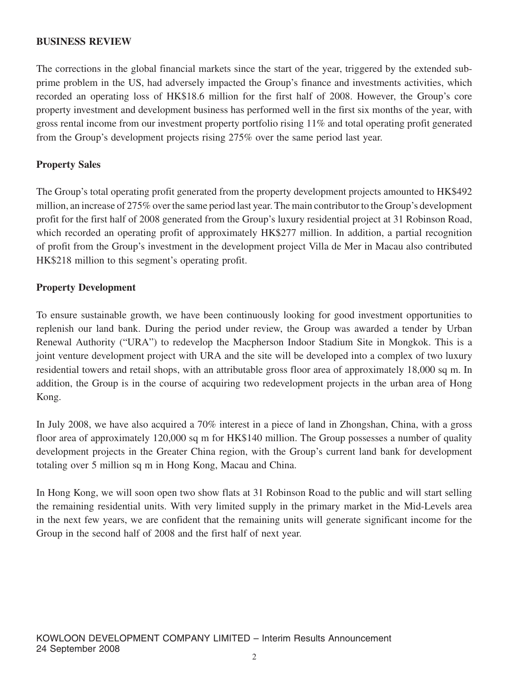#### **BUSINESS REVIEW**

The corrections in the global financial markets since the start of the year, triggered by the extended subprime problem in the US, had adversely impacted the Group's finance and investments activities, which recorded an operating loss of HK\$18.6 million for the first half of 2008. However, the Group's core property investment and development business has performed well in the first six months of the year, with gross rental income from our investment property portfolio rising 11% and total operating profit generated from the Group's development projects rising 275% over the same period last year.

#### **Property Sales**

The Group's total operating profit generated from the property development projects amounted to HK\$492 million, an increase of 275% over the same period last year. The main contributor to the Group's development profit for the first half of 2008 generated from the Group's luxury residential project at 31 Robinson Road, which recorded an operating profit of approximately HK\$277 million. In addition, a partial recognition of profit from the Group's investment in the development project Villa de Mer in Macau also contributed HK\$218 million to this segment's operating profit.

#### **Property Development**

To ensure sustainable growth, we have been continuously looking for good investment opportunities to replenish our land bank. During the period under review, the Group was awarded a tender by Urban Renewal Authority ("URA") to redevelop the Macpherson Indoor Stadium Site in Mongkok. This is a joint venture development project with URA and the site will be developed into a complex of two luxury residential towers and retail shops, with an attributable gross floor area of approximately 18,000 sq m. In addition, the Group is in the course of acquiring two redevelopment projects in the urban area of Hong Kong.

In July 2008, we have also acquired a 70% interest in a piece of land in Zhongshan, China, with a gross floor area of approximately 120,000 sq m for HK\$140 million. The Group possesses a number of quality development projects in the Greater China region, with the Group's current land bank for development totaling over 5 million sq m in Hong Kong, Macau and China.

In Hong Kong, we will soon open two show flats at 31 Robinson Road to the public and will start selling the remaining residential units. With very limited supply in the primary market in the Mid-Levels area in the next few years, we are confident that the remaining units will generate significant income for the Group in the second half of 2008 and the first half of next year.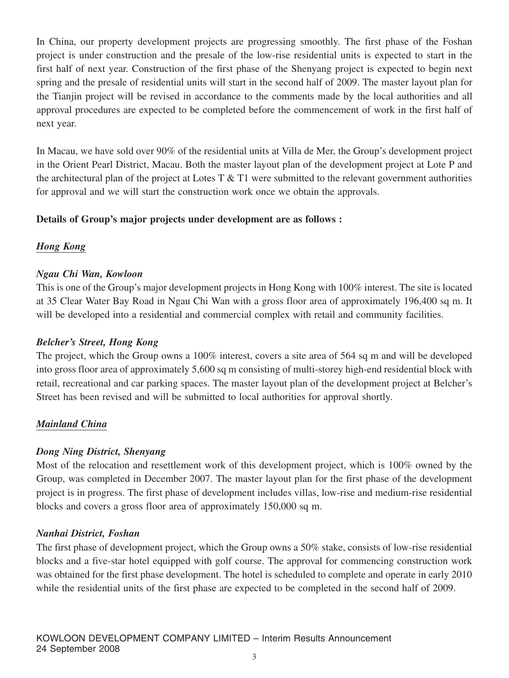In China, our property development projects are progressing smoothly. The first phase of the Foshan project is under construction and the presale of the low-rise residential units is expected to start in the first half of next year. Construction of the first phase of the Shenyang project is expected to begin next spring and the presale of residential units will start in the second half of 2009. The master layout plan for the Tianjin project will be revised in accordance to the comments made by the local authorities and all approval procedures are expected to be completed before the commencement of work in the first half of next year.

In Macau, we have sold over 90% of the residential units at Villa de Mer, the Group's development project in the Orient Pearl District, Macau. Both the master layout plan of the development project at Lote P and the architectural plan of the project at Lotes  $T \& T1$  were submitted to the relevant government authorities for approval and we will start the construction work once we obtain the approvals.

## **Details of Group's major projects under development are as follows :**

## *Hong Kong*

## *Ngau Chi Wan, Kowloon*

This is one of the Group's major development projects in Hong Kong with 100% interest. The site is located at 35 Clear Water Bay Road in Ngau Chi Wan with a gross floor area of approximately 196,400 sq m. It will be developed into a residential and commercial complex with retail and community facilities.

### *Belcher's Street, Hong Kong*

The project, which the Group owns a 100% interest, covers a site area of 564 sq m and will be developed into gross floor area of approximately 5,600 sq m consisting of multi-storey high-end residential block with retail, recreational and car parking spaces. The master layout plan of the development project at Belcher's Street has been revised and will be submitted to local authorities for approval shortly.

### *Mainland China*

### *Dong Ning District, Shenyang*

Most of the relocation and resettlement work of this development project, which is 100% owned by the Group, was completed in December 2007. The master layout plan for the first phase of the development project is in progress. The first phase of development includes villas, low-rise and medium-rise residential blocks and covers a gross floor area of approximately 150,000 sq m.

### *Nanhai District, Foshan*

The first phase of development project, which the Group owns a 50% stake, consists of low-rise residential blocks and a five-star hotel equipped with golf course. The approval for commencing construction work was obtained for the first phase development. The hotel is scheduled to complete and operate in early 2010 while the residential units of the first phase are expected to be completed in the second half of 2009.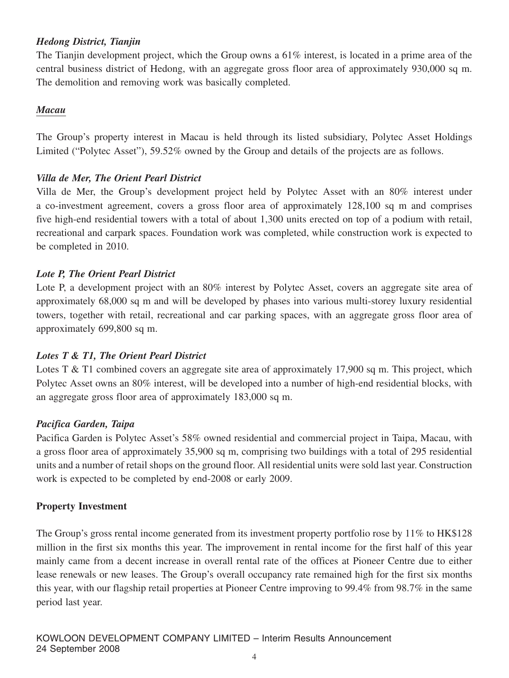## *Hedong District, Tianjin*

The Tianjin development project, which the Group owns a 61% interest, is located in a prime area of the central business district of Hedong, with an aggregate gross floor area of approximately 930,000 sq m. The demolition and removing work was basically completed.

#### *Macau*

The Group's property interest in Macau is held through its listed subsidiary, Polytec Asset Holdings Limited ("Polytec Asset"), 59.52% owned by the Group and details of the projects are as follows.

### *Villa de Mer, The Orient Pearl District*

Villa de Mer, the Group's development project held by Polytec Asset with an 80% interest under a co-investment agreement, covers a gross floor area of approximately 128,100 sq m and comprises five high-end residential towers with a total of about 1,300 units erected on top of a podium with retail, recreational and carpark spaces. Foundation work was completed, while construction work is expected to be completed in 2010.

#### *Lote P, The Orient Pearl District*

Lote P, a development project with an 80% interest by Polytec Asset, covers an aggregate site area of approximately 68,000 sq m and will be developed by phases into various multi-storey luxury residential towers, together with retail, recreational and car parking spaces, with an aggregate gross floor area of approximately 699,800 sq m.

### *Lotes T & T1, The Orient Pearl District*

Lotes T & T1 combined covers an aggregate site area of approximately 17,900 sq m. This project, which Polytec Asset owns an 80% interest, will be developed into a number of high-end residential blocks, with an aggregate gross floor area of approximately 183,000 sq m.

#### *Pacifica Garden, Taipa*

Pacifica Garden is Polytec Asset's 58% owned residential and commercial project in Taipa, Macau, with a gross floor area of approximately 35,900 sq m, comprising two buildings with a total of 295 residential units and a number of retail shops on the ground floor. All residential units were sold last year. Construction work is expected to be completed by end-2008 or early 2009.

#### **Property Investment**

The Group's gross rental income generated from its investment property portfolio rose by 11% to HK\$128 million in the first six months this year. The improvement in rental income for the first half of this year mainly came from a decent increase in overall rental rate of the offices at Pioneer Centre due to either lease renewals or new leases. The Group's overall occupancy rate remained high for the first six months this year, with our flagship retail properties at Pioneer Centre improving to 99.4% from 98.7% in the same period last year.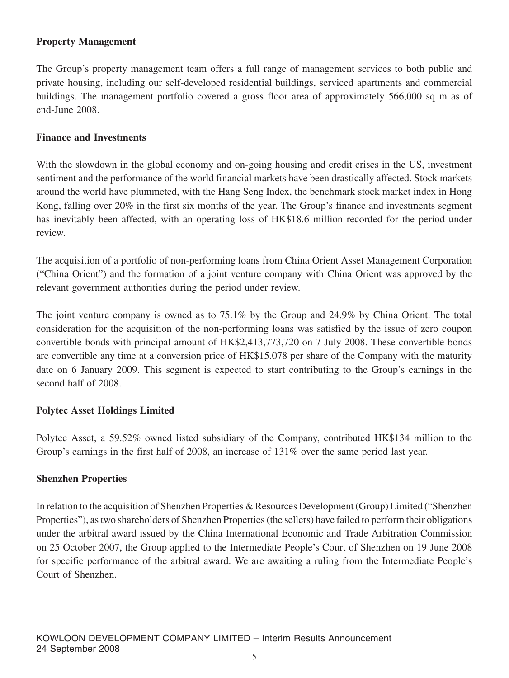## **Property Management**

The Group's property management team offers a full range of management services to both public and private housing, including our self-developed residential buildings, serviced apartments and commercial buildings. The management portfolio covered a gross floor area of approximately 566,000 sq m as of end-June 2008.

#### **Finance and Investments**

With the slowdown in the global economy and on-going housing and credit crises in the US, investment sentiment and the performance of the world financial markets have been drastically affected. Stock markets around the world have plummeted, with the Hang Seng Index, the benchmark stock market index in Hong Kong, falling over 20% in the first six months of the year. The Group's finance and investments segment has inevitably been affected, with an operating loss of HK\$18.6 million recorded for the period under review.

The acquisition of a portfolio of non-performing loans from China Orient Asset Management Corporation ("China Orient") and the formation of a joint venture company with China Orient was approved by the relevant government authorities during the period under review.

The joint venture company is owned as to 75.1% by the Group and 24.9% by China Orient. The total consideration for the acquisition of the non-performing loans was satisfied by the issue of zero coupon convertible bonds with principal amount of HK\$2,413,773,720 on 7 July 2008. These convertible bonds are convertible any time at a conversion price of HK\$15.078 per share of the Company with the maturity date on 6 January 2009. This segment is expected to start contributing to the Group's earnings in the second half of 2008.

### **Polytec Asset Holdings Limited**

Polytec Asset, a 59.52% owned listed subsidiary of the Company, contributed HK\$134 million to the Group's earnings in the first half of 2008, an increase of 131% over the same period last year.

### **Shenzhen Properties**

In relation to the acquisition of Shenzhen Properties & Resources Development (Group) Limited ("Shenzhen Properties"), as two shareholders of Shenzhen Properties (the sellers) have failed to perform their obligations under the arbitral award issued by the China International Economic and Trade Arbitration Commission on 25 October 2007, the Group applied to the Intermediate People's Court of Shenzhen on 19 June 2008 for specific performance of the arbitral award. We are awaiting a ruling from the Intermediate People's Court of Shenzhen.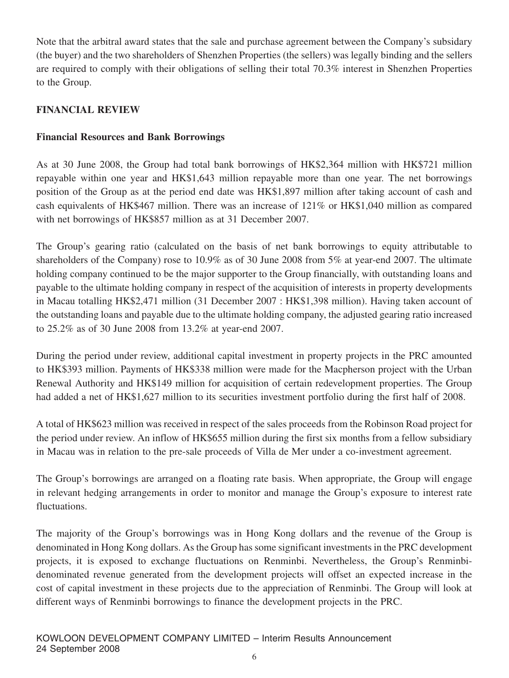Note that the arbitral award states that the sale and purchase agreement between the Company's subsidary (the buyer) and the two shareholders of Shenzhen Properties (the sellers) was legally binding and the sellers are required to comply with their obligations of selling their total 70.3% interest in Shenzhen Properties to the Group.

## **FINANCIAL REVIEW**

## **Financial Resources and Bank Borrowings**

As at 30 June 2008, the Group had total bank borrowings of HK\$2,364 million with HK\$721 million repayable within one year and HK\$1,643 million repayable more than one year. The net borrowings position of the Group as at the period end date was HK\$1,897 million after taking account of cash and cash equivalents of HK\$467 million. There was an increase of 121% or HK\$1,040 million as compared with net borrowings of HK\$857 million as at 31 December 2007.

The Group's gearing ratio (calculated on the basis of net bank borrowings to equity attributable to shareholders of the Company) rose to 10.9% as of 30 June 2008 from 5% at year-end 2007. The ultimate holding company continued to be the major supporter to the Group financially, with outstanding loans and payable to the ultimate holding company in respect of the acquisition of interests in property developments in Macau totalling HK\$2,471 million (31 December 2007 : HK\$1,398 million). Having taken account of the outstanding loans and payable due to the ultimate holding company, the adjusted gearing ratio increased to 25.2% as of 30 June 2008 from 13.2% at year-end 2007.

During the period under review, additional capital investment in property projects in the PRC amounted to HK\$393 million. Payments of HK\$338 million were made for the Macpherson project with the Urban Renewal Authority and HK\$149 million for acquisition of certain redevelopment properties. The Group had added a net of HK\$1,627 million to its securities investment portfolio during the first half of 2008.

A total of HK\$623 million was received in respect of the sales proceeds from the Robinson Road project for the period under review. An inflow of HK\$655 million during the first six months from a fellow subsidiary in Macau was in relation to the pre-sale proceeds of Villa de Mer under a co-investment agreement.

The Group's borrowings are arranged on a floating rate basis. When appropriate, the Group will engage in relevant hedging arrangements in order to monitor and manage the Group's exposure to interest rate fluctuations.

The majority of the Group's borrowings was in Hong Kong dollars and the revenue of the Group is denominated in Hong Kong dollars. As the Group has some significant investments in the PRC development projects, it is exposed to exchange fluctuations on Renminbi. Nevertheless, the Group's Renminbidenominated revenue generated from the development projects will offset an expected increase in the cost of capital investment in these projects due to the appreciation of Renminbi. The Group will look at different ways of Renminbi borrowings to finance the development projects in the PRC.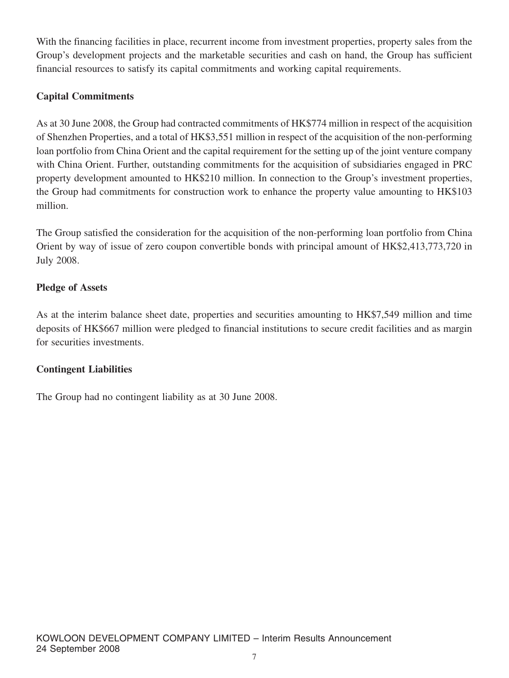With the financing facilities in place, recurrent income from investment properties, property sales from the Group's development projects and the marketable securities and cash on hand, the Group has sufficient financial resources to satisfy its capital commitments and working capital requirements.

## **Capital Commitments**

As at 30 June 2008, the Group had contracted commitments of HK\$774 million in respect of the acquisition of Shenzhen Properties, and a total of HK\$3,551 million in respect of the acquisition of the non-performing loan portfolio from China Orient and the capital requirement for the setting up of the joint venture company with China Orient. Further, outstanding commitments for the acquisition of subsidiaries engaged in PRC property development amounted to HK\$210 million. In connection to the Group's investment properties, the Group had commitments for construction work to enhance the property value amounting to HK\$103 million.

The Group satisfied the consideration for the acquisition of the non-performing loan portfolio from China Orient by way of issue of zero coupon convertible bonds with principal amount of HK\$2,413,773,720 in July 2008.

## **Pledge of Assets**

As at the interim balance sheet date, properties and securities amounting to HK\$7,549 million and time deposits of HK\$667 million were pledged to financial institutions to secure credit facilities and as margin for securities investments.

### **Contingent Liabilities**

The Group had no contingent liability as at 30 June 2008.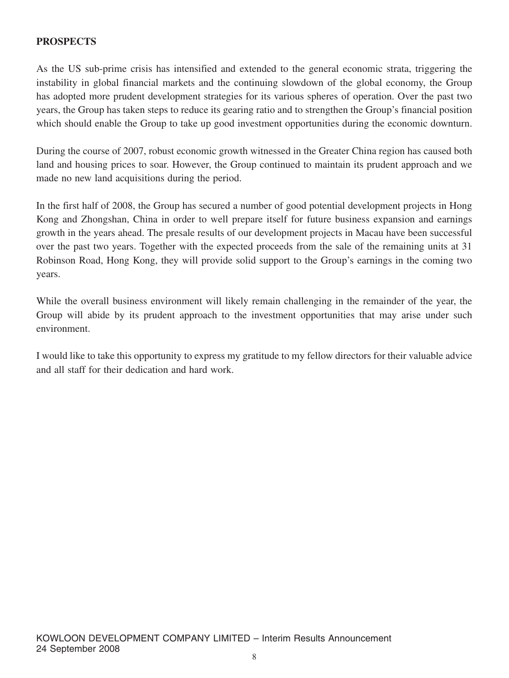#### **PROSPECTS**

As the US sub-prime crisis has intensified and extended to the general economic strata, triggering the instability in global financial markets and the continuing slowdown of the global economy, the Group has adopted more prudent development strategies for its various spheres of operation. Over the past two years, the Group has taken steps to reduce its gearing ratio and to strengthen the Group's financial position which should enable the Group to take up good investment opportunities during the economic downturn.

During the course of 2007, robust economic growth witnessed in the Greater China region has caused both land and housing prices to soar. However, the Group continued to maintain its prudent approach and we made no new land acquisitions during the period.

In the first half of 2008, the Group has secured a number of good potential development projects in Hong Kong and Zhongshan, China in order to well prepare itself for future business expansion and earnings growth in the years ahead. The presale results of our development projects in Macau have been successful over the past two years. Together with the expected proceeds from the sale of the remaining units at 31 Robinson Road, Hong Kong, they will provide solid support to the Group's earnings in the coming two years.

While the overall business environment will likely remain challenging in the remainder of the year, the Group will abide by its prudent approach to the investment opportunities that may arise under such environment.

I would like to take this opportunity to express my gratitude to my fellow directors for their valuable advice and all staff for their dedication and hard work.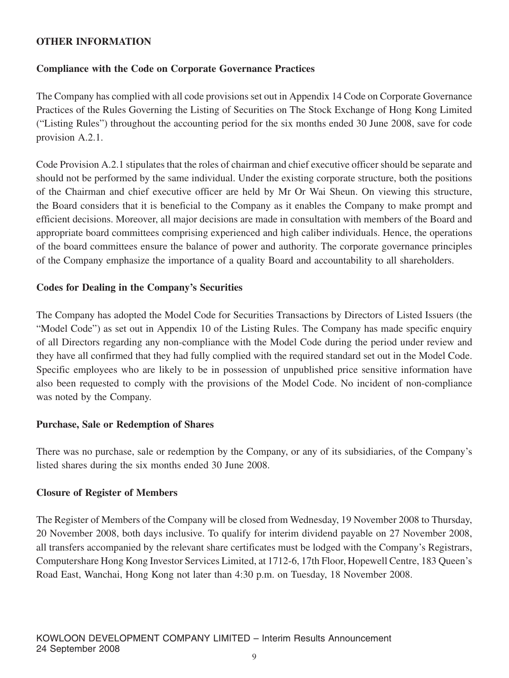#### **OTHER INFORMATION**

### **Compliance with the Code on Corporate Governance Practices**

The Company has complied with all code provisions set out in Appendix 14 Code on Corporate Governance Practices of the Rules Governing the Listing of Securities on The Stock Exchange of Hong Kong Limited ("Listing Rules") throughout the accounting period for the six months ended 30 June 2008, save for code provision A.2.1.

Code Provision A.2.1 stipulates that the roles of chairman and chief executive officer should be separate and should not be performed by the same individual. Under the existing corporate structure, both the positions of the Chairman and chief executive officer are held by Mr Or Wai Sheun. On viewing this structure, the Board considers that it is beneficial to the Company as it enables the Company to make prompt and efficient decisions. Moreover, all major decisions are made in consultation with members of the Board and appropriate board committees comprising experienced and high caliber individuals. Hence, the operations of the board committees ensure the balance of power and authority. The corporate governance principles of the Company emphasize the importance of a quality Board and accountability to all shareholders.

#### **Codes for Dealing in the Company's Securities**

The Company has adopted the Model Code for Securities Transactions by Directors of Listed Issuers (the "Model Code") as set out in Appendix 10 of the Listing Rules. The Company has made specific enquiry of all Directors regarding any non-compliance with the Model Code during the period under review and they have all confirmed that they had fully complied with the required standard set out in the Model Code. Specific employees who are likely to be in possession of unpublished price sensitive information have also been requested to comply with the provisions of the Model Code. No incident of non-compliance was noted by the Company.

### **Purchase, Sale or Redemption of Shares**

There was no purchase, sale or redemption by the Company, or any of its subsidiaries, of the Company's listed shares during the six months ended 30 June 2008.

#### **Closure of Register of Members**

The Register of Members of the Company will be closed from Wednesday, 19 November 2008 to Thursday, 20 November 2008, both days inclusive. To qualify for interim dividend payable on 27 November 2008, all transfers accompanied by the relevant share certificates must be lodged with the Company's Registrars, Computershare Hong Kong Investor Services Limited, at 1712-6, 17th Floor, Hopewell Centre, 183 Queen's Road East, Wanchai, Hong Kong not later than 4:30 p.m. on Tuesday, 18 November 2008.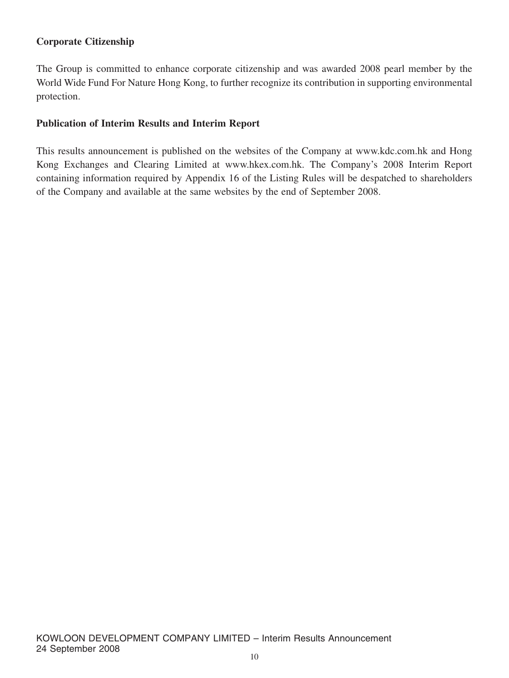## **Corporate Citizenship**

The Group is committed to enhance corporate citizenship and was awarded 2008 pearl member by the World Wide Fund For Nature Hong Kong, to further recognize its contribution in supporting environmental protection.

#### **Publication of Interim Results and Interim Report**

This results announcement is published on the websites of the Company at www.kdc.com.hk and Hong Kong Exchanges and Clearing Limited at www.hkex.com.hk. The Company's 2008 Interim Report containing information required by Appendix 16 of the Listing Rules will be despatched to shareholders of the Company and available at the same websites by the end of September 2008.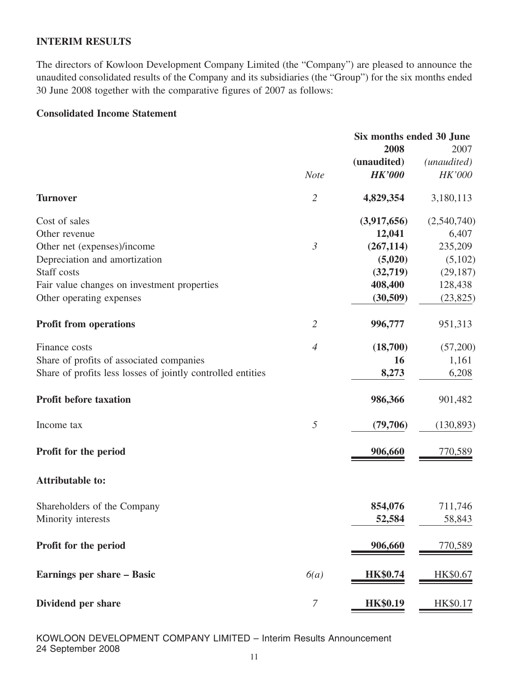#### **INTERIM RESULTS**

The directors of Kowloon Development Company Limited (the "Company") are pleased to announce the unaudited consolidated results of the Company and its subsidiaries (the "Group") for the six months ended 30 June 2008 together with the comparative figures of 2007 as follows:

#### **Consolidated Income Statement**

|                                                             | Six months ended 30 June |                 |                      |
|-------------------------------------------------------------|--------------------------|-----------------|----------------------|
|                                                             |                          | 2008            | 2007                 |
|                                                             |                          | (unaudited)     | ( <i>unaudited</i> ) |
|                                                             | <b>Note</b>              | <b>HK'000</b>   | HK'000               |
| <b>Turnover</b>                                             | $\overline{2}$           | 4,829,354       | 3,180,113            |
| Cost of sales                                               |                          | (3,917,656)     | (2,540,740)          |
| Other revenue                                               |                          | 12,041          | 6,407                |
| Other net (expenses)/income                                 | $\mathfrak{Z}$           | (267, 114)      | 235,209              |
| Depreciation and amortization                               |                          | (5,020)         | (5,102)              |
| Staff costs                                                 |                          | (32,719)        | (29, 187)            |
| Fair value changes on investment properties                 |                          | 408,400         | 128,438              |
| Other operating expenses                                    |                          | (30, 509)       | (23, 825)            |
| <b>Profit from operations</b>                               | $\overline{2}$           | 996,777         | 951,313              |
| Finance costs                                               | $\overline{4}$           | (18,700)        | (57,200)             |
| Share of profits of associated companies                    |                          | 16              | 1,161                |
| Share of profits less losses of jointly controlled entities |                          | 8,273           | 6,208                |
| <b>Profit before taxation</b>                               |                          | 986,366         | 901,482              |
| Income tax                                                  | $\sqrt{2}$               | (79,706)        | (130, 893)           |
| Profit for the period                                       |                          | 906,660         | 770,589              |
| <b>Attributable to:</b>                                     |                          |                 |                      |
| Shareholders of the Company                                 |                          | 854,076         | 711,746              |
| Minority interests                                          |                          | 52,584          | 58,843               |
| Profit for the period                                       |                          | 906,660         | 770,589              |
| Earnings per share – Basic                                  | 6(a)                     | <b>HK\$0.74</b> | HK\$0.67             |
| Dividend per share                                          | 7                        | <b>HK\$0.19</b> | HK\$0.17             |
|                                                             |                          |                 |                      |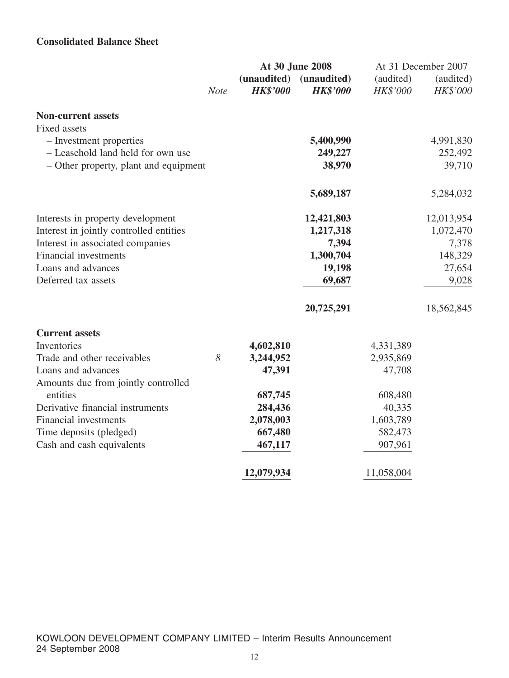## **Consolidated Balance Sheet**

|                                         |             |                                | At 30 June 2008                |                              | At 31 December 2007   |
|-----------------------------------------|-------------|--------------------------------|--------------------------------|------------------------------|-----------------------|
|                                         | <b>Note</b> | (unaudited)<br><b>HK\$'000</b> | (unaudited)<br><b>HK\$'000</b> | (audited)<br><b>HK\$'000</b> | (audited)<br>HK\$'000 |
| <b>Non-current assets</b>               |             |                                |                                |                              |                       |
| Fixed assets                            |             |                                |                                |                              |                       |
| - Investment properties                 |             |                                | 5,400,990                      |                              | 4,991,830             |
| - Leasehold land held for own use       |             |                                | 249,227                        |                              | 252,492               |
| - Other property, plant and equipment   |             |                                | 38,970                         |                              | 39,710                |
|                                         |             |                                | 5,689,187                      |                              | 5,284,032             |
| Interests in property development       |             |                                | 12,421,803                     |                              | 12,013,954            |
| Interest in jointly controlled entities |             |                                | 1,217,318                      |                              | 1,072,470             |
| Interest in associated companies        |             |                                | 7,394                          |                              | 7,378                 |
| <b>Financial investments</b>            |             |                                | 1,300,704                      |                              | 148,329               |
| Loans and advances                      |             |                                | 19,198                         |                              | 27,654                |
| Deferred tax assets                     |             |                                | 69,687                         |                              | 9,028                 |
|                                         |             |                                | 20,725,291                     |                              | 18,562,845            |
| <b>Current assets</b>                   |             |                                |                                |                              |                       |
| Inventories                             |             | 4,602,810                      |                                | 4,331,389                    |                       |
| Trade and other receivables             | 8           | 3,244,952                      |                                | 2,935,869                    |                       |
| Loans and advances                      |             | 47,391                         |                                | 47,708                       |                       |
| Amounts due from jointly controlled     |             |                                |                                |                              |                       |
| entities                                |             | 687,745                        |                                | 608,480                      |                       |
| Derivative financial instruments        |             | 284,436                        |                                | 40,335                       |                       |
| <b>Financial investments</b>            |             | 2,078,003                      |                                | 1,603,789                    |                       |
| Time deposits (pledged)                 |             | 667,480                        |                                | 582,473                      |                       |
| Cash and cash equivalents               |             | 467,117                        |                                | 907,961                      |                       |
|                                         |             | 12,079,934                     |                                | 11,058,004                   |                       |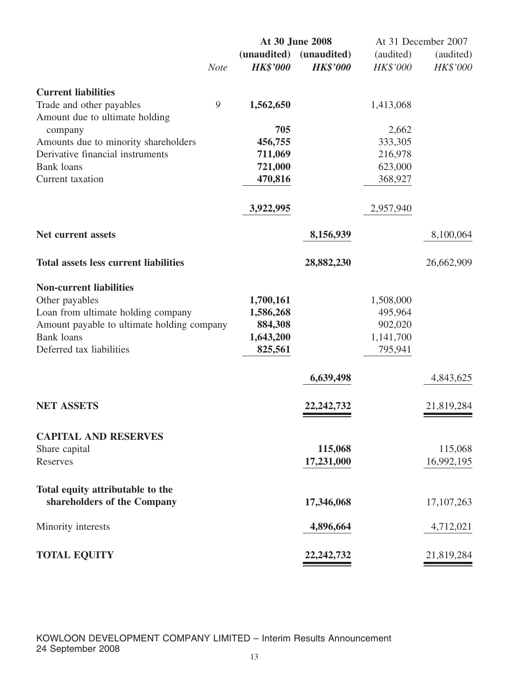| (audited)<br>HK\$'000 |
|-----------------------|
|                       |
|                       |
|                       |
|                       |
|                       |
|                       |
|                       |
|                       |
|                       |
|                       |
| 8,100,064             |
| 26,662,909            |
|                       |
|                       |
|                       |
|                       |
|                       |
|                       |
| 4,843,625             |
| 21,819,284            |
|                       |
|                       |
| 115,068               |
| 16,992,195            |
|                       |
| 17, 107, 263          |
| 4,712,021             |
| 21,819,284            |
|                       |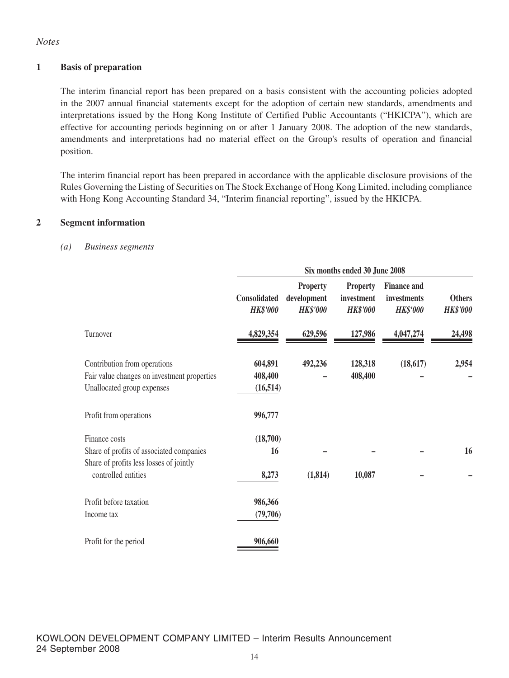#### *Notes*

#### **1 Basis of preparation**

The interim financial report has been prepared on a basis consistent with the accounting policies adopted in the 2007 annual financial statements except for the adoption of certain new standards, amendments and interpretations issued by the Hong Kong Institute of Certified Public Accountants ("HKICPA"), which are effective for accounting periods beginning on or after 1 January 2008. The adoption of the new standards, amendments and interpretations had no material effect on the Group's results of operation and financial position.

The interim financial report has been prepared in accordance with the applicable disclosure provisions of the Rules Governing the Listing of Securities on The Stock Exchange of Hong Kong Limited, including compliance with Hong Kong Accounting Standard 34, "Interim financial reporting", issued by the HKICPA.

#### **2 Segment information**

#### *(a) Business segments*

|                                                                                                                             | Six months ended 30 June 2008   |                                                   |                                                  |                                                      |                                  |
|-----------------------------------------------------------------------------------------------------------------------------|---------------------------------|---------------------------------------------------|--------------------------------------------------|------------------------------------------------------|----------------------------------|
|                                                                                                                             | Consolidated<br><b>HK\$'000</b> | <b>Property</b><br>development<br><b>HK\$'000</b> | <b>Property</b><br>investment<br><b>HK\$'000</b> | <b>Finance and</b><br>investments<br><b>HK\$'000</b> | <b>Others</b><br><b>HK\$'000</b> |
| Turnover                                                                                                                    | 4,829,354                       | 629,596                                           | 127,986                                          | 4,047,274                                            | 24,498                           |
| Contribution from operations<br>Fair value changes on investment properties<br>Unallocated group expenses                   | 604,891<br>408,400<br>(16, 514) | 492,236                                           | 128,318<br>408,400                               | (18,617)                                             | 2,954                            |
| Profit from operations                                                                                                      | 996,777                         |                                                   |                                                  |                                                      |                                  |
| Finance costs<br>Share of profits of associated companies<br>Share of profits less losses of jointly<br>controlled entities | (18,700)<br>16<br>8,273         | (1, 814)                                          | 10,087                                           |                                                      | 16                               |
| Profit before taxation<br>Income tax                                                                                        | 986,366<br>(79,706)             |                                                   |                                                  |                                                      |                                  |
| Profit for the period                                                                                                       | 906,660                         |                                                   |                                                  |                                                      |                                  |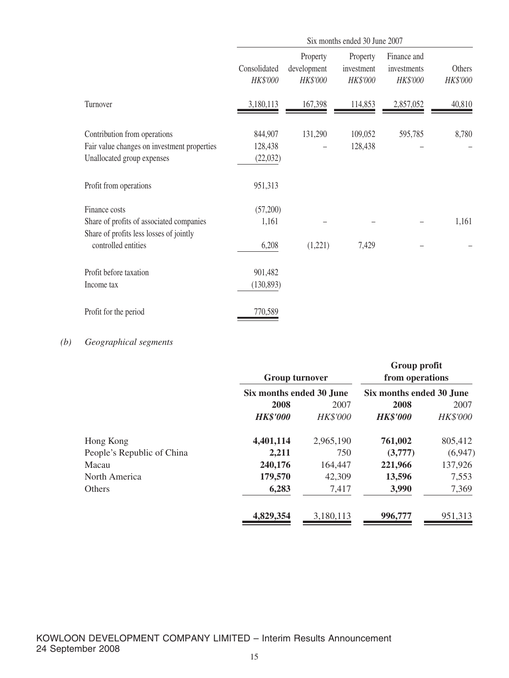|                                                                                                                             | Six months ended 30 June 2007   |                                     |                                    |                                        |                    |
|-----------------------------------------------------------------------------------------------------------------------------|---------------------------------|-------------------------------------|------------------------------------|----------------------------------------|--------------------|
|                                                                                                                             | Consolidated<br>HK\$'000        | Property<br>development<br>HK\$'000 | Property<br>investment<br>HK\$'000 | Finance and<br>investments<br>HK\$'000 | Others<br>HK\$'000 |
| Turnover                                                                                                                    | 3,180,113                       | 167,398                             | 114,853                            | 2,857,052                              | 40,810             |
| Contribution from operations<br>Fair value changes on investment properties<br>Unallocated group expenses                   | 844,907<br>128,438<br>(22, 032) | 131,290                             | 109,052<br>128,438                 | 595,785                                | 8,780              |
| Profit from operations                                                                                                      | 951,313                         |                                     |                                    |                                        |                    |
| Finance costs<br>Share of profits of associated companies<br>Share of profits less losses of jointly<br>controlled entities | (57,200)<br>1,161<br>6,208      | (1,221)                             | 7,429                              |                                        | 1,161              |
| Profit before taxation<br>Income tax                                                                                        | 901,482<br>(130, 893)           |                                     |                                    |                                        |                    |
| Profit for the period                                                                                                       | 770,589                         |                                     |                                    |                                        |                    |

## *(b) Geographical segments*

|                            | <b>Group turnover</b>    |                 | Group profit<br>from operations |                 |
|----------------------------|--------------------------|-----------------|---------------------------------|-----------------|
|                            | Six months ended 30 June |                 | Six months ended 30 June        |                 |
|                            | 2008                     | 2007            | 2008                            | 2007            |
|                            | <b>HK\$'000</b>          | <b>HK\$'000</b> | <b>HK\$'000</b>                 | <b>HK\$'000</b> |
| Hong Kong                  | 4,401,114                | 2,965,190       | 761,002                         | 805,412         |
| People's Republic of China | 2,211                    | 750             | (3,777)                         | (6,947)         |
| Macau                      | 240,176                  | 164,447         | 221,966                         | 137,926         |
| North America              | 179,570                  | 42,309          | 13,596                          | 7,553           |
| <b>Others</b>              | 6,283                    | 7,417           | 3,990                           | 7,369           |
|                            | 4,829,354                | 3,180,113       | 996,777                         | 951,313         |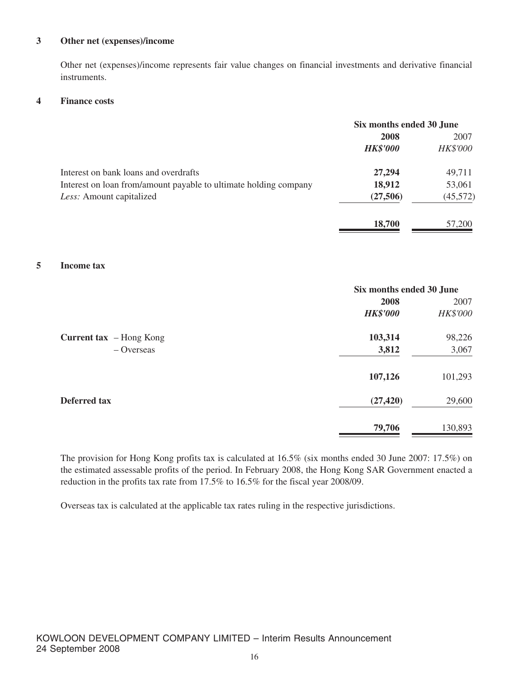#### **3 Other net (expenses)/income**

Other net (expenses)/income represents fair value changes on financial investments and derivative financial instruments.

#### **4 Finance costs**

|                                                                  | Six months ended 30 June |                 |
|------------------------------------------------------------------|--------------------------|-----------------|
|                                                                  | 2008                     | 2007            |
|                                                                  | <b>HK\$'000</b>          | <b>HK\$'000</b> |
| Interest on bank loans and overdrafts                            | 27,294                   | 49,711          |
| Interest on loan from/amount payable to ultimate holding company | 18,912                   | 53,061          |
| Less: Amount capitalized                                         | (27,506)                 | (45,572)        |
|                                                                  | 18,700                   | 57,200          |

#### **5 Income tax**

|                                | Six months ended 30 June |          |  |
|--------------------------------|--------------------------|----------|--|
|                                | 2008                     | 2007     |  |
|                                | <b>HK\$'000</b>          | HK\$'000 |  |
| <b>Current tax</b> – Hong Kong | 103,314                  | 98,226   |  |
| $-$ Overseas                   | 3,812                    | 3,067    |  |
|                                | 107,126                  | 101,293  |  |
| <b>Deferred tax</b>            | (27, 420)                | 29,600   |  |
|                                | 79,706                   | 130,893  |  |

The provision for Hong Kong profits tax is calculated at 16.5% (six months ended 30 June 2007: 17.5%) on the estimated assessable profits of the period. In February 2008, the Hong Kong SAR Government enacted a reduction in the profits tax rate from 17.5% to 16.5% for the fiscal year 2008/09.

Overseas tax is calculated at the applicable tax rates ruling in the respective jurisdictions.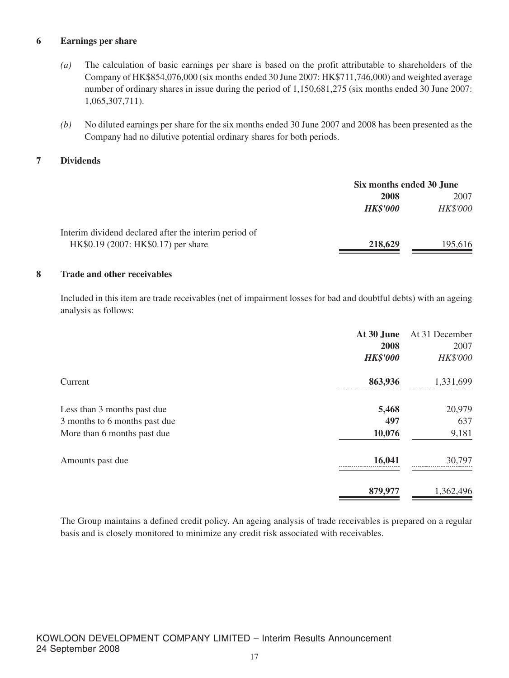#### **6 Earnings per share**

- *(a)* The calculation of basic earnings per share is based on the profit attributable to shareholders of the Company of HK\$854,076,000 (six months ended 30 June 2007: HK\$711,746,000) and weighted average number of ordinary shares in issue during the period of 1,150,681,275 (six months ended 30 June 2007: 1,065,307,711).
- *(b)* No diluted earnings per share for the six months ended 30 June 2007 and 2008 has been presented as the Company had no dilutive potential ordinary shares for both periods.

#### **7 Dividends**

|                                                       | Six months ended 30 June |          |
|-------------------------------------------------------|--------------------------|----------|
|                                                       | 2008                     | 2007     |
|                                                       | <b>HK\$'000</b>          | HK\$'000 |
| Interim dividend declared after the interim period of |                          |          |
| HK\$0.19 (2007: HK\$0.17) per share                   | 218,629                  | 195,616  |

#### **8 Trade and other receivables**

Included in this item are trade receivables (net of impairment losses for bad and doubtful debts) with an ageing analysis as follows:

|                               | At 30 June      | At 31 December |
|-------------------------------|-----------------|----------------|
|                               | 2008            | 2007           |
|                               | <b>HK\$'000</b> | HK\$'000       |
| Current                       | 863,936         | 1,331,699      |
| Less than 3 months past due   | 5,468           | 20,979         |
| 3 months to 6 months past due | 497             | 637            |
| More than 6 months past due   | 10,076          | 9,181          |
| Amounts past due              | 16,041          | 30,797         |
|                               | 879,977         | 1,362,496      |

The Group maintains a defined credit policy. An ageing analysis of trade receivables is prepared on a regular basis and is closely monitored to minimize any credit risk associated with receivables.